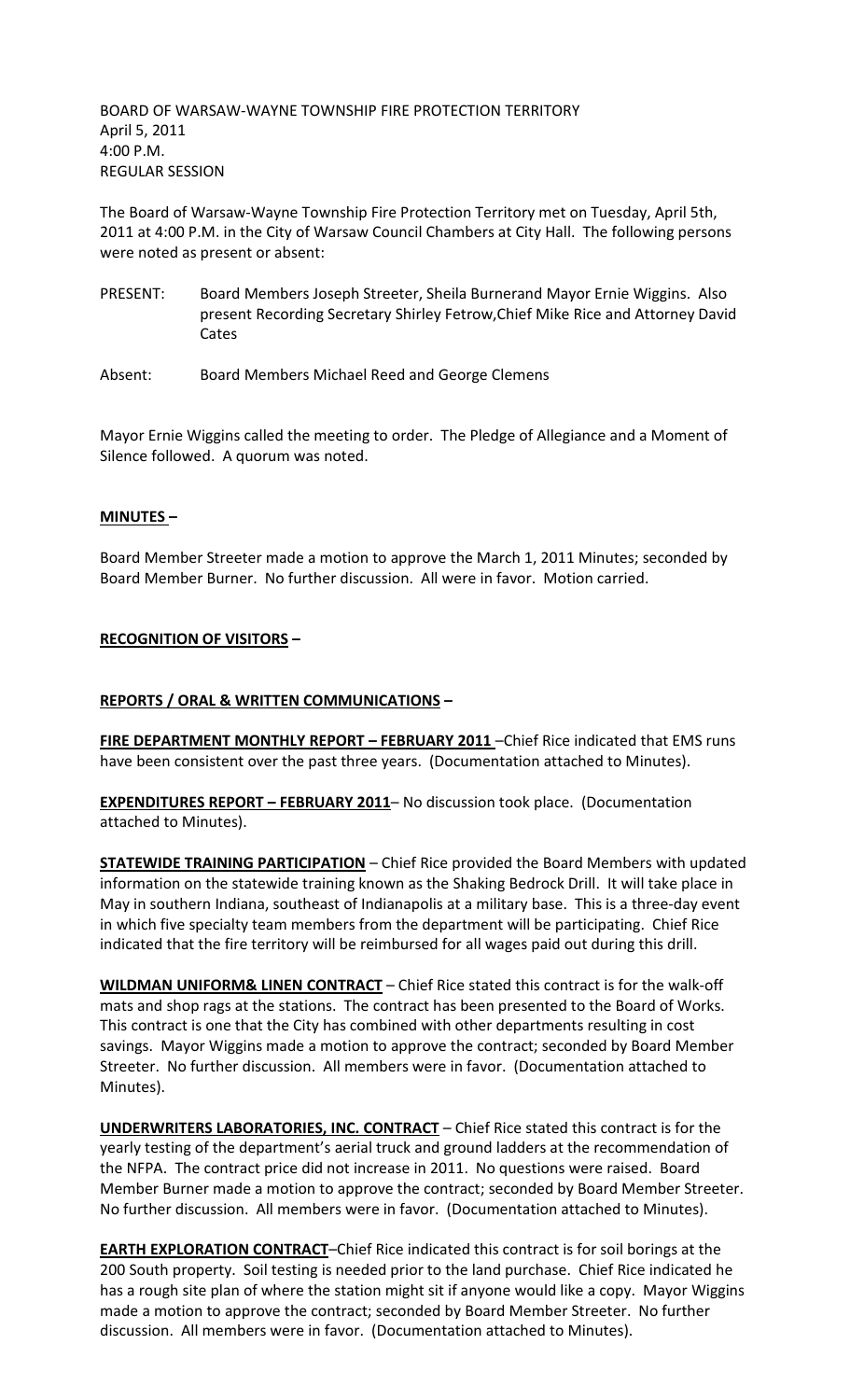BOARD OF WARSAW-WAYNE TOWNSHIP FIRE PROTECTION TERRITORY April 5, 2011 4:00 P.M. REGULAR SESSION

The Board of Warsaw-Wayne Township Fire Protection Territory met on Tuesday, April 5th, 2011 at 4:00 P.M. in the City of Warsaw Council Chambers at City Hall. The following persons were noted as present or absent:

- PRESENT: Board Members Joseph Streeter, Sheila Burnerand Mayor Ernie Wiggins. Also present Recording Secretary Shirley Fetrow,Chief Mike Rice and Attorney David Cates
- Absent: Board Members Michael Reed and George Clemens

Mayor Ernie Wiggins called the meeting to order. The Pledge of Allegiance and a Moment of Silence followed. A quorum was noted.

# **MINUTES –**

Board Member Streeter made a motion to approve the March 1, 2011 Minutes; seconded by Board Member Burner. No further discussion. All were in favor. Motion carried.

## **RECOGNITION OF VISITORS –**

## **REPORTS / ORAL & WRITTEN COMMUNICATIONS –**

**FIRE DEPARTMENT MONTHLY REPORT – FEBRUARY 2011** –Chief Rice indicated that EMS runs have been consistent over the past three years. (Documentation attached to Minutes).

**EXPENDITURES REPORT – FEBRUARY 2011**– No discussion took place. (Documentation attached to Minutes).

**STATEWIDE TRAINING PARTICIPATION** – Chief Rice provided the Board Members with updated information on the statewide training known as the Shaking Bedrock Drill. It will take place in May in southern Indiana, southeast of Indianapolis at a military base. This is a three-day event in which five specialty team members from the department will be participating. Chief Rice indicated that the fire territory will be reimbursed for all wages paid out during this drill.

**WILDMAN UNIFORM& LINEN CONTRACT** – Chief Rice stated this contract is for the walk-off mats and shop rags at the stations. The contract has been presented to the Board of Works. This contract is one that the City has combined with other departments resulting in cost savings. Mayor Wiggins made a motion to approve the contract; seconded by Board Member Streeter. No further discussion. All members were in favor. (Documentation attached to Minutes).

**UNDERWRITERS LABORATORIES, INC. CONTRACT** – Chief Rice stated this contract is for the yearly testing of the department's aerial truck and ground ladders at the recommendation of the NFPA. The contract price did not increase in 2011. No questions were raised. Board Member Burner made a motion to approve the contract; seconded by Board Member Streeter. No further discussion. All members were in favor. (Documentation attached to Minutes).

**EARTH EXPLORATION CONTRACT**–Chief Rice indicated this contract is for soil borings at the 200 South property. Soil testing is needed prior to the land purchase. Chief Rice indicated he has a rough site plan of where the station might sit if anyone would like a copy. Mayor Wiggins made a motion to approve the contract; seconded by Board Member Streeter. No further discussion. All members were in favor. (Documentation attached to Minutes).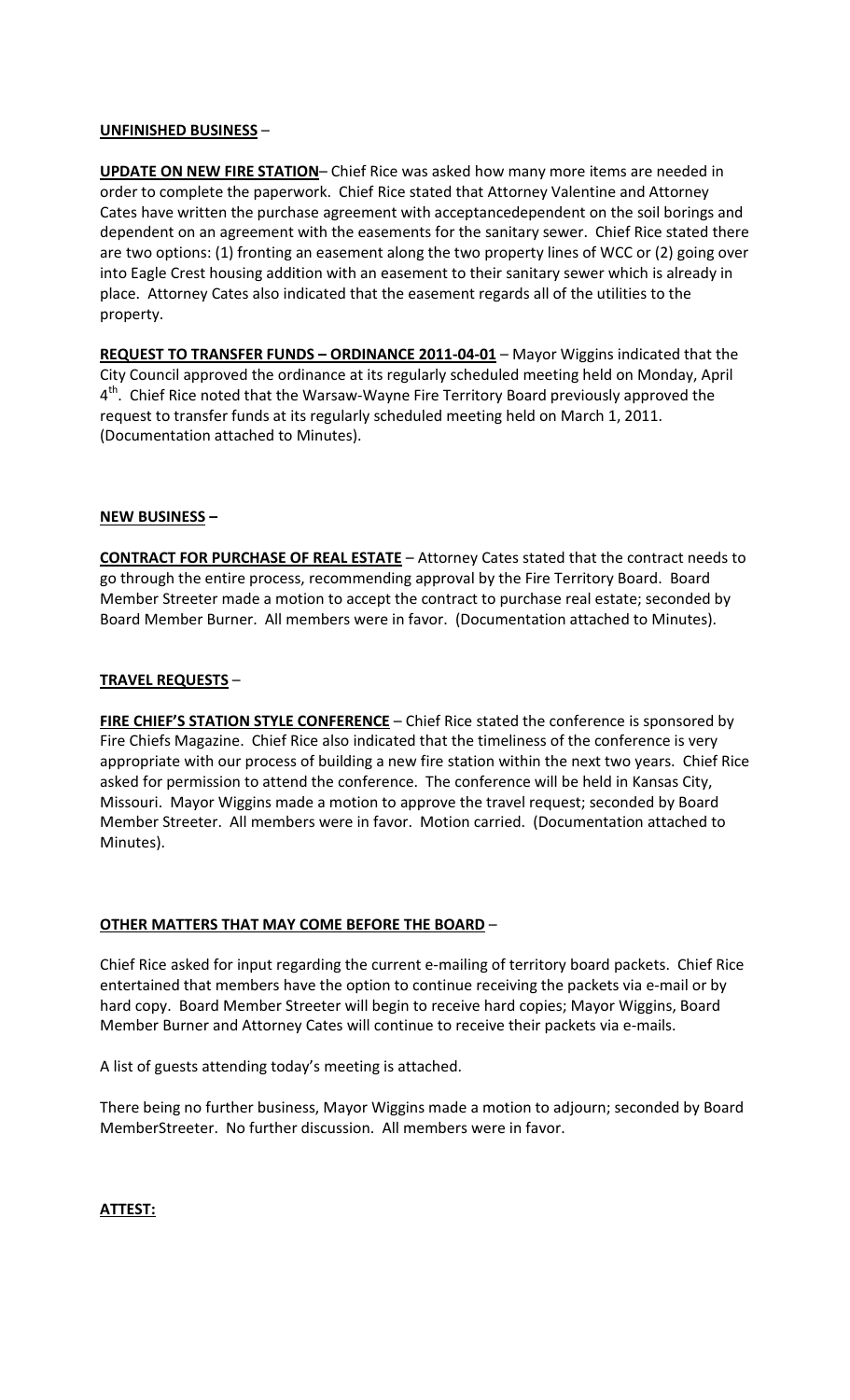# **UNFINISHED BUSINESS** –

**UPDATE ON NEW FIRE STATION**– Chief Rice was asked how many more items are needed in order to complete the paperwork. Chief Rice stated that Attorney Valentine and Attorney Cates have written the purchase agreement with acceptancedependent on the soil borings and dependent on an agreement with the easements for the sanitary sewer. Chief Rice stated there are two options: (1) fronting an easement along the two property lines of WCC or (2) going over into Eagle Crest housing addition with an easement to their sanitary sewer which is already in place. Attorney Cates also indicated that the easement regards all of the utilities to the property.

**REQUEST TO TRANSFER FUNDS – ORDINANCE 2011-04-01** – Mayor Wiggins indicated that the City Council approved the ordinance at its regularly scheduled meeting held on Monday, April 4<sup>th</sup>. Chief Rice noted that the Warsaw-Wayne Fire Territory Board previously approved the request to transfer funds at its regularly scheduled meeting held on March 1, 2011. (Documentation attached to Minutes).

# **NEW BUSINESS –**

**CONTRACT FOR PURCHASE OF REAL ESTATE** – Attorney Cates stated that the contract needs to go through the entire process, recommending approval by the Fire Territory Board. Board Member Streeter made a motion to accept the contract to purchase real estate; seconded by Board Member Burner. All members were in favor. (Documentation attached to Minutes).

# **TRAVEL REQUESTS** –

**FIRE CHIEF'S STATION STYLE CONFERENCE** – Chief Rice stated the conference is sponsored by Fire Chiefs Magazine. Chief Rice also indicated that the timeliness of the conference is very appropriate with our process of building a new fire station within the next two years. Chief Rice asked for permission to attend the conference. The conference will be held in Kansas City, Missouri. Mayor Wiggins made a motion to approve the travel request; seconded by Board Member Streeter. All members were in favor. Motion carried. (Documentation attached to Minutes).

## **OTHER MATTERS THAT MAY COME BEFORE THE BOARD** –

Chief Rice asked for input regarding the current e-mailing of territory board packets. Chief Rice entertained that members have the option to continue receiving the packets via e-mail or by hard copy. Board Member Streeter will begin to receive hard copies; Mayor Wiggins, Board Member Burner and Attorney Cates will continue to receive their packets via e-mails.

A list of guests attending today's meeting is attached.

There being no further business, Mayor Wiggins made a motion to adjourn; seconded by Board MemberStreeter. No further discussion. All members were in favor.

**ATTEST:**